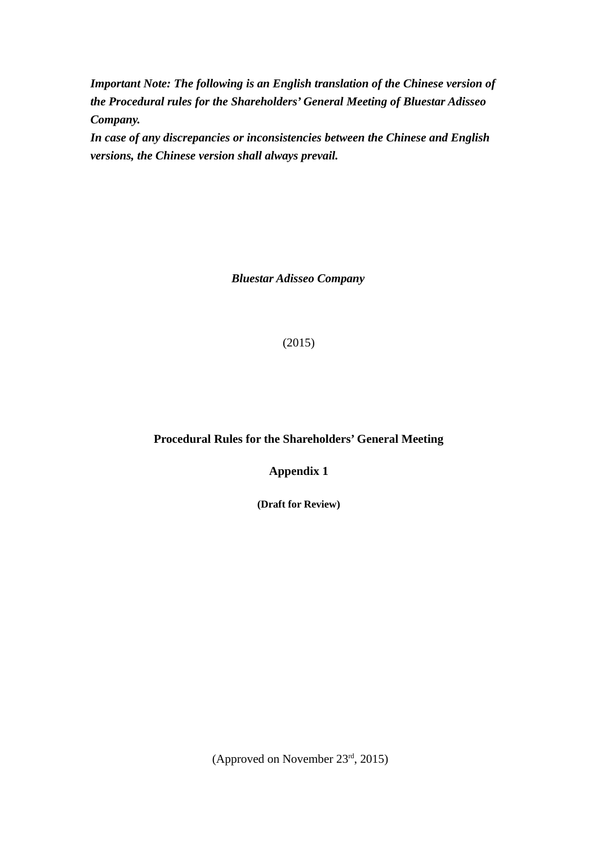*Important Note: The following is an English translation of the Chinese version of the Procedural rules for the Shareholders' General Meeting of Bluestar Adisseo Company.* 

*In case of any discrepancies or inconsistencies between the Chinese and English versions, the Chinese version shall always prevail.*

*Bluestar Adisseo Company*

(2015)

# **Procedural Rules for the Shareholders' General Meeting**

**Appendix 1**

**(Draft for Review)**

(Approved on November 23rd, 2015)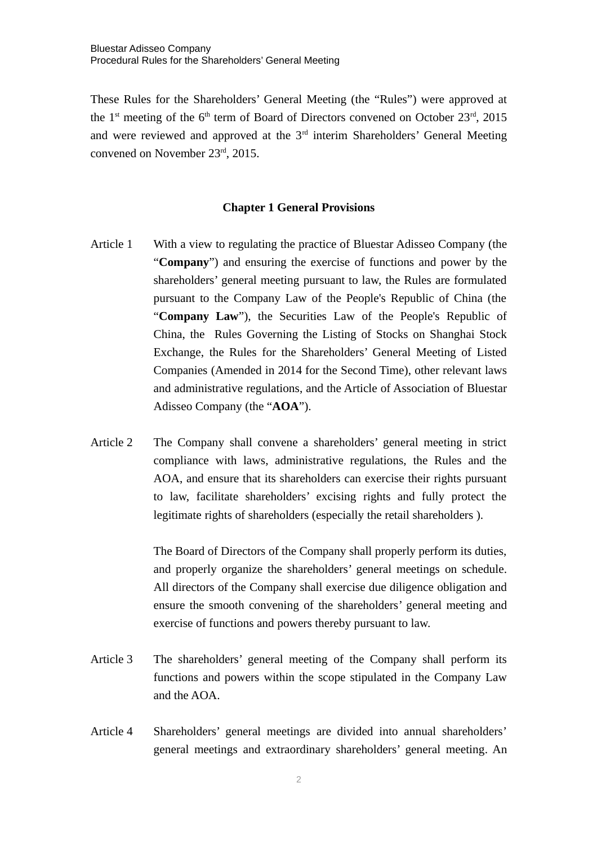These Rules for the Shareholders' General Meeting (the "Rules") were approved at the 1<sup>st</sup> meeting of the 6<sup>th</sup> term of Board of Directors convened on October 23<sup>rd</sup>, 2015 and were reviewed and approved at the  $3<sup>rd</sup>$  interim Shareholders' General Meeting convened on November 23rd, 2015.

### **Chapter 1 General Provisions**

- Article 1 With a view to regulating the practice of Bluestar Adisseo Company (the "**Company**") and ensuring the exercise of functions and power by the shareholders' general meeting pursuant to law, the Rules are formulated pursuant to the Company Law of the People's Republic of China (the "**Company Law**"), the Securities Law of the People's Republic of China, the Rules Governing the Listing of Stocks on Shanghai Stock Exchange, the Rules for the Shareholders' General Meeting of Listed Companies (Amended in 2014 for the Second Time), other relevant laws and administrative regulations, and the Article of Association of Bluestar Adisseo Company (the "**AOA**").
- Article 2 The Company shall convene a shareholders' general meeting in strict compliance with laws, administrative regulations, the Rules and the AOA, and ensure that its shareholders can exercise their rights pursuant to law, facilitate shareholders' excising rights and fully protect the legitimate rights of shareholders (especially the retail shareholders ).

The Board of Directors of the Company shall properly perform its duties, and properly organize the shareholders' general meetings on schedule. All directors of the Company shall exercise due diligence obligation and ensure the smooth convening of the shareholders' general meeting and exercise of functions and powers thereby pursuant to law.

- Article 3 The shareholders' general meeting of the Company shall perform its functions and powers within the scope stipulated in the Company Law and the AOA.
- Article 4 Shareholders' general meetings are divided into annual shareholders' general meetings and extraordinary shareholders' general meeting. An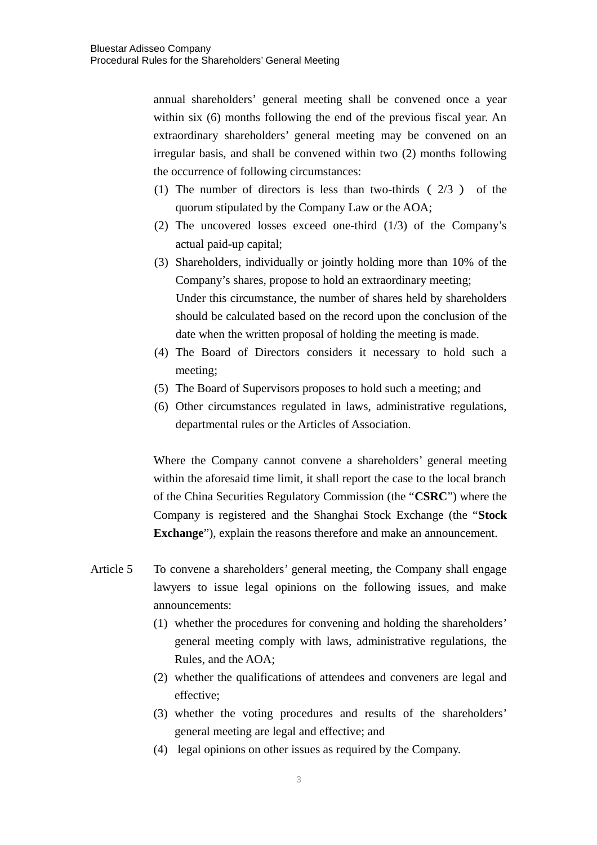annual shareholders' general meeting shall be convened once a year within six (6) months following the end of the previous fiscal year. An extraordinary shareholders' general meeting may be convened on an irregular basis, and shall be convened within two (2) months following the occurrence of following circumstances:

- (1) The number of directors is less than two-thirds ( 2/3 ) of the quorum stipulated by the Company Law or the AOA;
- (2) The uncovered losses exceed one-third (1/3) of the Company's actual paid-up capital;
- (3) Shareholders, individually or jointly holding more than 10% of the Company's shares, propose to hold an extraordinary meeting; Under this circumstance, the number of shares held by shareholders should be calculated based on the record upon the conclusion of the date when the written proposal of holding the meeting is made.
- (4) The Board of Directors considers it necessary to hold such a meeting;
- (5) The Board of Supervisors proposes to hold such a meeting; and
- (6) Other circumstances regulated in laws, administrative regulations, departmental rules or the Articles of Association.

Where the Company cannot convene a shareholders' general meeting within the aforesaid time limit, it shall report the case to the local branch of the China Securities Regulatory Commission (the "**CSRC**") where the Company is registered and the Shanghai Stock Exchange (the "**Stock Exchange**"), explain the reasons therefore and make an announcement.

- Article 5 To convene a shareholders' general meeting, the Company shall engage lawyers to issue legal opinions on the following issues, and make announcements:
	- (1) whether the procedures for convening and holding the shareholders' general meeting comply with laws, administrative regulations, the Rules, and the AOA;
	- (2) whether the qualifications of attendees and conveners are legal and effective;
	- (3) whether the voting procedures and results of the shareholders' general meeting are legal and effective; and
	- (4) legal opinions on other issues as required by the Company.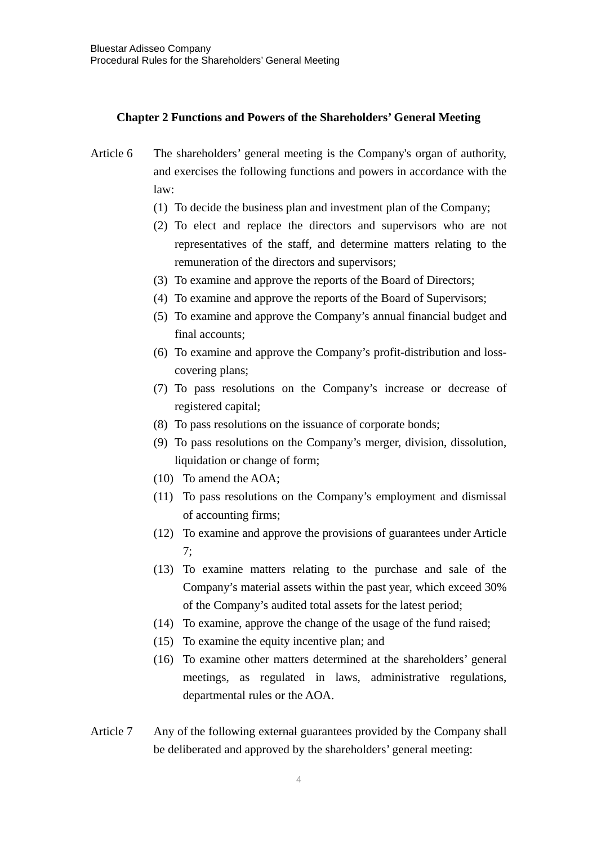## **Chapter 2 Functions and Powers of the Shareholders' General Meeting**

- Article 6 The shareholders' general meeting is the Company's organ of authority, and exercises the following functions and powers in accordance with the law:
	- (1) To decide the business plan and investment plan of the Company;
	- (2) To elect and replace the directors and supervisors who are not representatives of the staff, and determine matters relating to the remuneration of the directors and supervisors;
	- (3) To examine and approve the reports of the Board of Directors;
	- (4) To examine and approve the reports of the Board of Supervisors;
	- (5) To examine and approve the Company's annual financial budget and final accounts;
	- (6) To examine and approve the Company's profit-distribution and losscovering plans;
	- (7) To pass resolutions on the Company's increase or decrease of registered capital;
	- (8) To pass resolutions on the issuance of corporate bonds;
	- (9) To pass resolutions on the Company's merger, division, dissolution, liquidation or change of form;
	- (10) To amend the AOA;
	- (11) To pass resolutions on the Company's employment and dismissal of accounting firms;
	- (12) To examine and approve the provisions of guarantees under Article 7;
	- (13) To examine matters relating to the purchase and sale of the Company's material assets within the past year, which exceed 30% of the Company's audited total assets for the latest period;
	- (14) To examine, approve the change of the usage of the fund raised;
	- (15) To examine the equity incentive plan; and
	- (16) To examine other matters determined at the shareholders' general meetings, as regulated in laws, administrative regulations, departmental rules or the AOA.
- Article 7 Any of the following external guarantees provided by the Company shall be deliberated and approved by the shareholders' general meeting: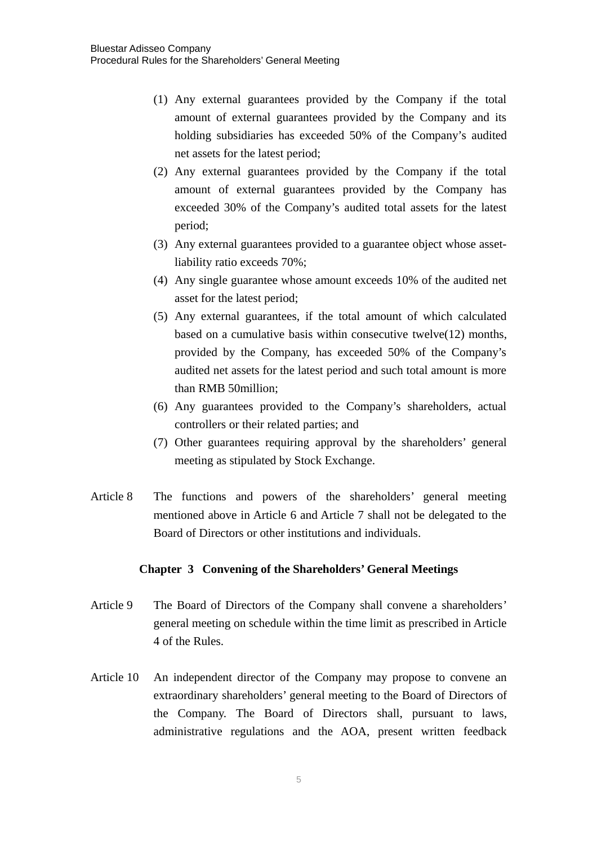- (1) Any external guarantees provided by the Company if the total amount of external guarantees provided by the Company and its holding subsidiaries has exceeded 50% of the Company's audited net assets for the latest period;
- (2) Any external guarantees provided by the Company if the total amount of external guarantees provided by the Company has exceeded 30% of the Company's audited total assets for the latest period;
- (3) Any external guarantees provided to a guarantee object whose assetliability ratio exceeds 70%;
- (4) Any single guarantee whose amount exceeds 10% of the audited net asset for the latest period;
- (5) Any external guarantees, if the total amount of which calculated based on a cumulative basis within consecutive twelve(12) months, provided by the Company, has exceeded 50% of the Company's audited net assets for the latest period and such total amount is more than RMB 50million;
- (6) Any guarantees provided to the Company's shareholders, actual controllers or their related parties; and
- (7) Other guarantees requiring approval by the shareholders' general meeting as stipulated by Stock Exchange.
- Article 8 The functions and powers of the shareholders' general meeting mentioned above in Article 6 and Article 7 shall not be delegated to the Board of Directors or other institutions and individuals.

## **Chapter 3 Convening of the Shareholders' General Meetings**

- Article 9 The Board of Directors of the Company shall convene a shareholders' general meeting on schedule within the time limit as prescribed in Article 4 of the Rules.
- Article 10 An independent director of the Company may propose to convene an extraordinary shareholders' general meeting to the Board of Directors of the Company. The Board of Directors shall, pursuant to laws, administrative regulations and the AOA, present written feedback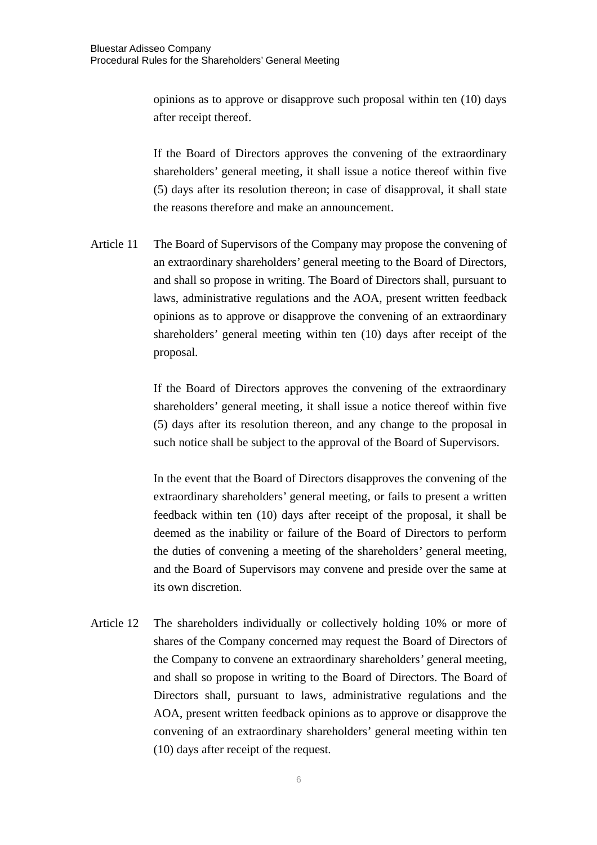opinions as to approve or disapprove such proposal within ten (10) days after receipt thereof.

If the Board of Directors approves the convening of the extraordinary shareholders' general meeting, it shall issue a notice thereof within five (5) days after its resolution thereon; in case of disapproval, it shall state the reasons therefore and make an announcement.

Article 11 The Board of Supervisors of the Company may propose the convening of an extraordinary shareholders' general meeting to the Board of Directors, and shall so propose in writing. The Board of Directors shall, pursuant to laws, administrative regulations and the AOA, present written feedback opinions as to approve or disapprove the convening of an extraordinary shareholders' general meeting within ten (10) days after receipt of the proposal.

> If the Board of Directors approves the convening of the extraordinary shareholders' general meeting, it shall issue a notice thereof within five (5) days after its resolution thereon, and any change to the proposal in such notice shall be subject to the approval of the Board of Supervisors.

> In the event that the Board of Directors disapproves the convening of the extraordinary shareholders' general meeting, or fails to present a written feedback within ten (10) days after receipt of the proposal, it shall be deemed as the inability or failure of the Board of Directors to perform the duties of convening a meeting of the shareholders' general meeting, and the Board of Supervisors may convene and preside over the same at its own discretion.

Article 12 The shareholders individually or collectively holding 10% or more of shares of the Company concerned may request the Board of Directors of the Company to convene an extraordinary shareholders' general meeting, and shall so propose in writing to the Board of Directors. The Board of Directors shall, pursuant to laws, administrative regulations and the AOA, present written feedback opinions as to approve or disapprove the convening of an extraordinary shareholders' general meeting within ten (10) days after receipt of the request.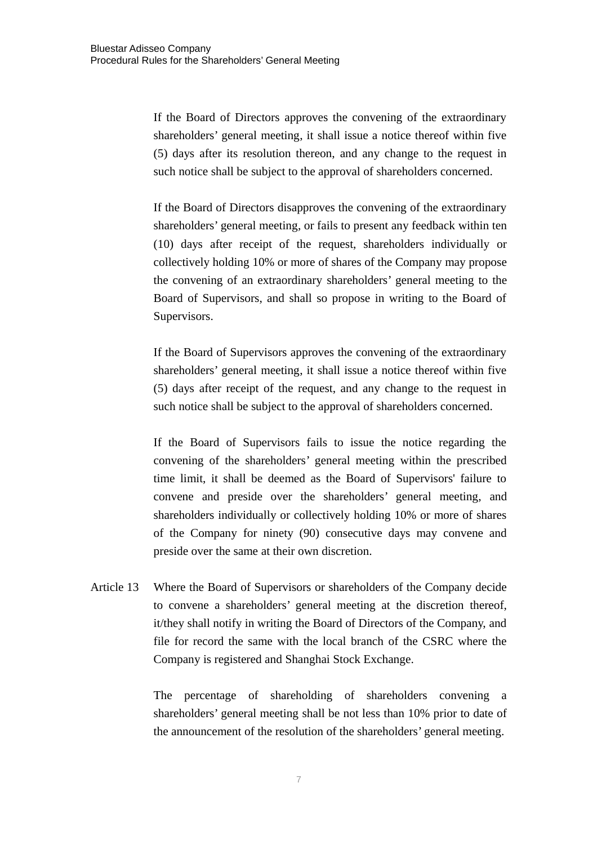If the Board of Directors approves the convening of the extraordinary shareholders' general meeting, it shall issue a notice thereof within five (5) days after its resolution thereon, and any change to the request in such notice shall be subject to the approval of shareholders concerned.

If the Board of Directors disapproves the convening of the extraordinary shareholders' general meeting, or fails to present any feedback within ten (10) days after receipt of the request, shareholders individually or collectively holding 10% or more of shares of the Company may propose the convening of an extraordinary shareholders' general meeting to the Board of Supervisors, and shall so propose in writing to the Board of Supervisors.

If the Board of Supervisors approves the convening of the extraordinary shareholders' general meeting, it shall issue a notice thereof within five (5) days after receipt of the request, and any change to the request in such notice shall be subject to the approval of shareholders concerned.

If the Board of Supervisors fails to issue the notice regarding the convening of the shareholders' general meeting within the prescribed time limit, it shall be deemed as the Board of Supervisors' failure to convene and preside over the shareholders' general meeting, and shareholders individually or collectively holding 10% or more of shares of the Company for ninety (90) consecutive days may convene and preside over the same at their own discretion.

Article 13 Where the Board of Supervisors or shareholders of the Company decide to convene a shareholders' general meeting at the discretion thereof, it/they shall notify in writing the Board of Directors of the Company, and file for record the same with the local branch of the CSRC where the Company is registered and Shanghai Stock Exchange.

> The percentage of shareholding of shareholders convening a shareholders' general meeting shall be not less than 10% prior to date of the announcement of the resolution of the shareholders' general meeting.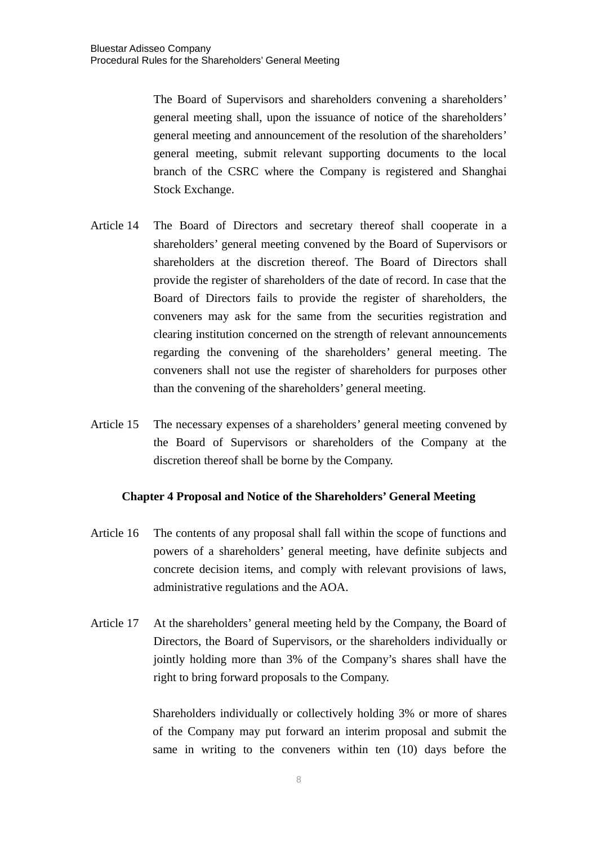The Board of Supervisors and shareholders convening a shareholders' general meeting shall, upon the issuance of notice of the shareholders' general meeting and announcement of the resolution of the shareholders' general meeting, submit relevant supporting documents to the local branch of the CSRC where the Company is registered and Shanghai Stock Exchange.

- Article 14 The Board of Directors and secretary thereof shall cooperate in a shareholders' general meeting convened by the Board of Supervisors or shareholders at the discretion thereof. The Board of Directors shall provide the register of shareholders of the date of record. In case that the Board of Directors fails to provide the register of shareholders, the conveners may ask for the same from the securities registration and clearing institution concerned on the strength of relevant announcements regarding the convening of the shareholders' general meeting. The conveners shall not use the register of shareholders for purposes other than the convening of the shareholders' general meeting.
- Article 15 The necessary expenses of a shareholders' general meeting convened by the Board of Supervisors or shareholders of the Company at the discretion thereof shall be borne by the Company.

## **Chapter 4 Proposal and Notice of the Shareholders' General Meeting**

- Article 16 The contents of any proposal shall fall within the scope of functions and powers of a shareholders' general meeting, have definite subjects and concrete decision items, and comply with relevant provisions of laws, administrative regulations and the AOA.
- Article 17 At the shareholders' general meeting held by the Company, the Board of Directors, the Board of Supervisors, or the shareholders individually or jointly holding more than 3% of the Company's shares shall have the right to bring forward proposals to the Company.

Shareholders individually or collectively holding 3% or more of shares of the Company may put forward an interim proposal and submit the same in writing to the conveners within ten (10) days before the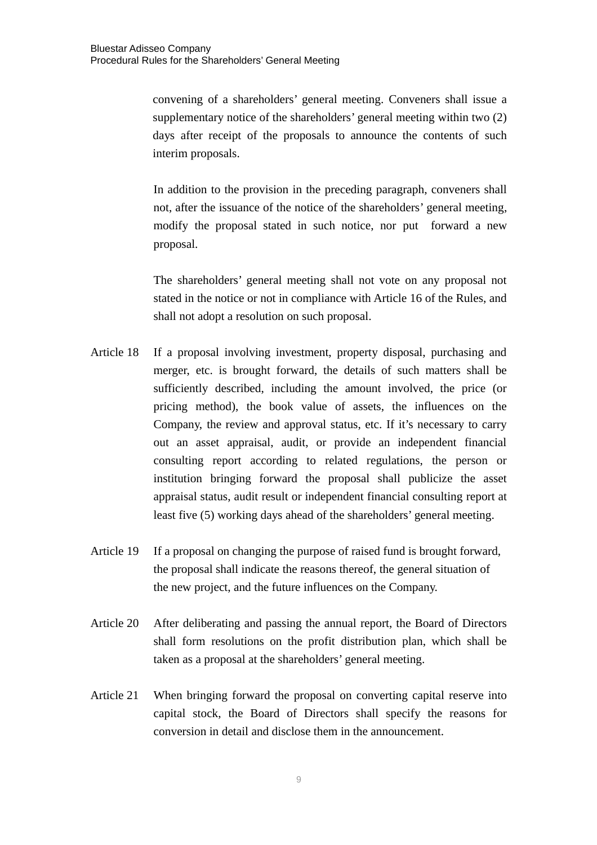convening of a shareholders' general meeting. Conveners shall issue a supplementary notice of the shareholders' general meeting within two (2) days after receipt of the proposals to announce the contents of such interim proposals.

In addition to the provision in the preceding paragraph, conveners shall not, after the issuance of the notice of the shareholders' general meeting, modify the proposal stated in such notice, nor put forward a new proposal.

The shareholders' general meeting shall not vote on any proposal not stated in the notice or not in compliance with Article 16 of the Rules, and shall not adopt a resolution on such proposal.

- Article 18 If a proposal involving investment, property disposal, purchasing and merger, etc. is brought forward, the details of such matters shall be sufficiently described, including the amount involved, the price (or pricing method), the book value of assets, the influences on the Company, the review and approval status, etc. If it's necessary to carry out an asset appraisal, audit, or provide an independent financial consulting report according to related regulations, the person or institution bringing forward the proposal shall publicize the asset appraisal status, audit result or independent financial consulting report at least five (5) working days ahead of the shareholders' general meeting.
- Article 19 If a proposal on changing the purpose of raised fund is brought forward, the proposal shall indicate the reasons thereof, the general situation of the new project, and the future influences on the Company.
- Article 20 After deliberating and passing the annual report, the Board of Directors shall form resolutions on the profit distribution plan, which shall be taken as a proposal at the shareholders' general meeting.
- Article 21 When bringing forward the proposal on converting capital reserve into capital stock, the Board of Directors shall specify the reasons for conversion in detail and disclose them in the announcement.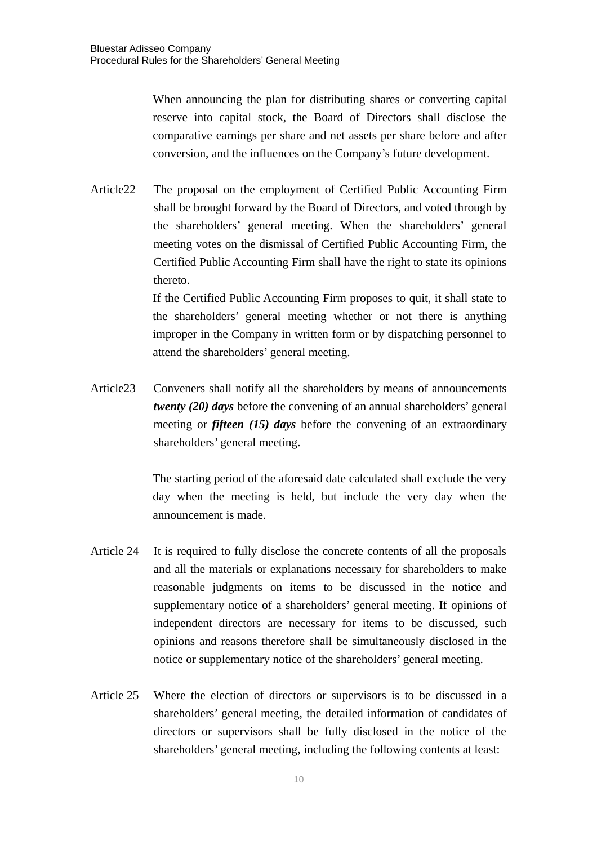When announcing the plan for distributing shares or converting capital reserve into capital stock, the Board of Directors shall disclose the comparative earnings per share and net assets per share before and after conversion, and the influences on the Company's future development.

Article22 The proposal on the employment of Certified Public Accounting Firm shall be brought forward by the Board of Directors, and voted through by the shareholders' general meeting. When the shareholders' general meeting votes on the dismissal of Certified Public Accounting Firm, the Certified Public Accounting Firm shall have the right to state its opinions thereto.

> If the Certified Public Accounting Firm proposes to quit, it shall state to the shareholders' general meeting whether or not there is anything improper in the Company in written form or by dispatching personnel to attend the shareholders' general meeting.

Article23 Conveners shall notify all the shareholders by means of announcements *twenty (20) days* before the convening of an annual shareholders' general meeting or *fifteen (15) days* before the convening of an extraordinary shareholders' general meeting.

> The starting period of the aforesaid date calculated shall exclude the very day when the meeting is held, but include the very day when the announcement is made.

- Article 24 It is required to fully disclose the concrete contents of all the proposals and all the materials or explanations necessary for shareholders to make reasonable judgments on items to be discussed in the notice and supplementary notice of a shareholders' general meeting. If opinions of independent directors are necessary for items to be discussed, such opinions and reasons therefore shall be simultaneously disclosed in the notice or supplementary notice of the shareholders' general meeting.
- Article 25 Where the election of directors or supervisors is to be discussed in a shareholders' general meeting, the detailed information of candidates of directors or supervisors shall be fully disclosed in the notice of the shareholders' general meeting, including the following contents at least: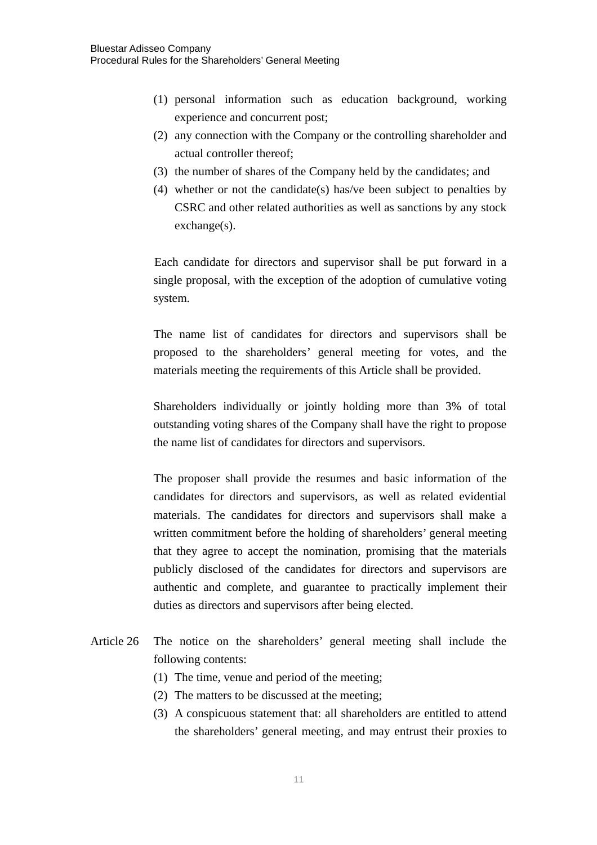- (1) personal information such as education background, working experience and concurrent post;
- (2) any connection with the Company or the controlling shareholder and actual controller thereof;
- (3) the number of shares of the Company held by the candidates; and
- (4) whether or not the candidate(s) has/ve been subject to penalties by CSRC and other related authorities as well as sanctions by any stock exchange(s).

Each candidate for directors and supervisor shall be put forward in a single proposal, with the exception of the adoption of cumulative voting system.

The name list of candidates for directors and supervisors shall be proposed to the shareholders' general meeting for votes, and the materials meeting the requirements of this Article shall be provided.

Shareholders individually or jointly holding more than 3% of total outstanding voting shares of the Company shall have the right to propose the name list of candidates for directors and supervisors.

The proposer shall provide the resumes and basic information of the candidates for directors and supervisors, as well as related evidential materials. The candidates for directors and supervisors shall make a written commitment before the holding of shareholders' general meeting that they agree to accept the nomination, promising that the materials publicly disclosed of the candidates for directors and supervisors are authentic and complete, and guarantee to practically implement their duties as directors and supervisors after being elected.

- Article 26 The notice on the shareholders' general meeting shall include the following contents:
	- (1) The time, venue and period of the meeting;
	- (2) The matters to be discussed at the meeting;
	- (3) A conspicuous statement that: all shareholders are entitled to attend the shareholders' general meeting, and may entrust their proxies to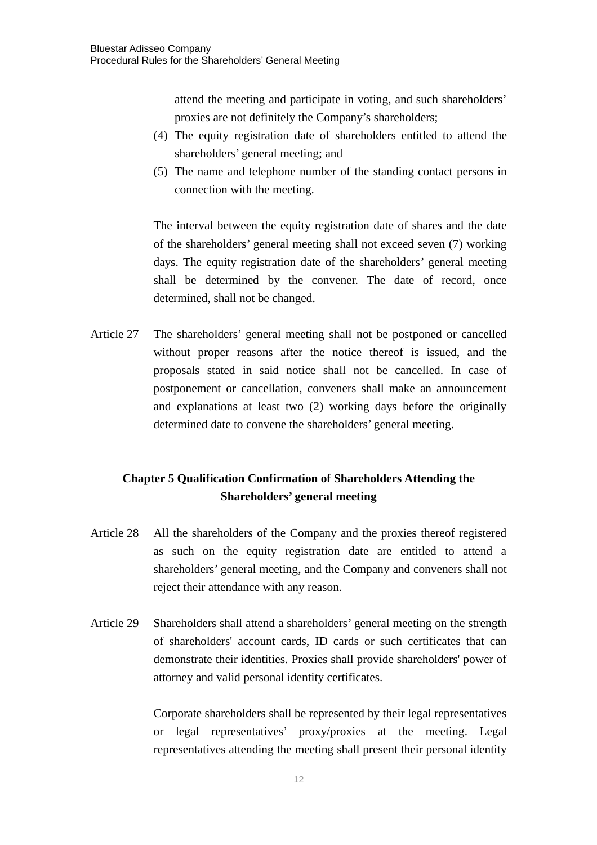attend the meeting and participate in voting, and such shareholders' proxies are not definitely the Company's shareholders;

- (4) The equity registration date of shareholders entitled to attend the shareholders' general meeting; and
- (5) The name and telephone number of the standing contact persons in connection with the meeting.

The interval between the equity registration date of shares and the date of the shareholders' general meeting shall not exceed seven (7) working days. The equity registration date of the shareholders' general meeting shall be determined by the convener. The date of record, once determined, shall not be changed.

Article 27 The shareholders' general meeting shall not be postponed or cancelled without proper reasons after the notice thereof is issued, and the proposals stated in said notice shall not be cancelled. In case of postponement or cancellation, conveners shall make an announcement and explanations at least two (2) working days before the originally determined date to convene the shareholders' general meeting.

# **Chapter 5 Qualification Confirmation of Shareholders Attending the Shareholders' general meeting**

- Article 28 All the shareholders of the Company and the proxies thereof registered as such on the equity registration date are entitled to attend a shareholders' general meeting, and the Company and conveners shall not reject their attendance with any reason.
- Article 29 Shareholders shall attend a shareholders' general meeting on the strength of shareholders' account cards, ID cards or such certificates that can demonstrate their identities. Proxies shall provide shareholders' power of attorney and valid personal identity certificates.

Corporate shareholders shall be represented by their legal representatives or legal representatives' proxy/proxies at the meeting. Legal representatives attending the meeting shall present their personal identity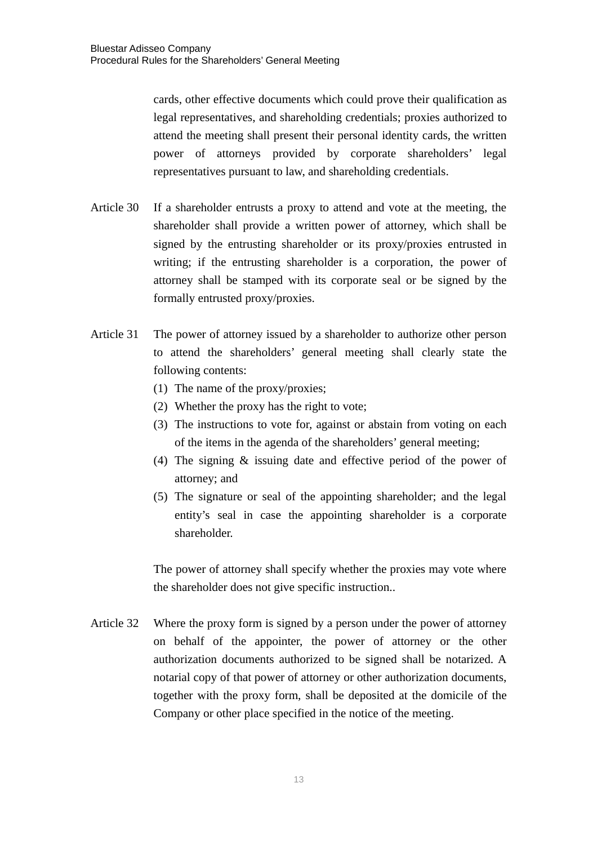cards, other effective documents which could prove their qualification as legal representatives, and shareholding credentials; proxies authorized to attend the meeting shall present their personal identity cards, the written power of attorneys provided by corporate shareholders' legal representatives pursuant to law, and shareholding credentials.

- Article 30 If a shareholder entrusts a proxy to attend and vote at the meeting, the shareholder shall provide a written power of attorney, which shall be signed by the entrusting shareholder or its proxy/proxies entrusted in writing; if the entrusting shareholder is a corporation, the power of attorney shall be stamped with its corporate seal or be signed by the formally entrusted proxy/proxies.
- Article 31 The power of attorney issued by a shareholder to authorize other person to attend the shareholders' general meeting shall clearly state the following contents:
	- (1) The name of the proxy/proxies;
	- (2) Whether the proxy has the right to vote;
	- (3) The instructions to vote for, against or abstain from voting on each of the items in the agenda of the shareholders' general meeting;
	- (4) The signing & issuing date and effective period of the power of attorney; and
	- (5) The signature or seal of the appointing shareholder; and the legal entity's seal in case the appointing shareholder is a corporate shareholder.

The power of attorney shall specify whether the proxies may vote where the shareholder does not give specific instruction..

Article 32 Where the proxy form is signed by a person under the power of attorney on behalf of the appointer, the power of attorney or the other authorization documents authorized to be signed shall be notarized. A notarial copy of that power of attorney or other authorization documents, together with the proxy form, shall be deposited at the domicile of the Company or other place specified in the notice of the meeting.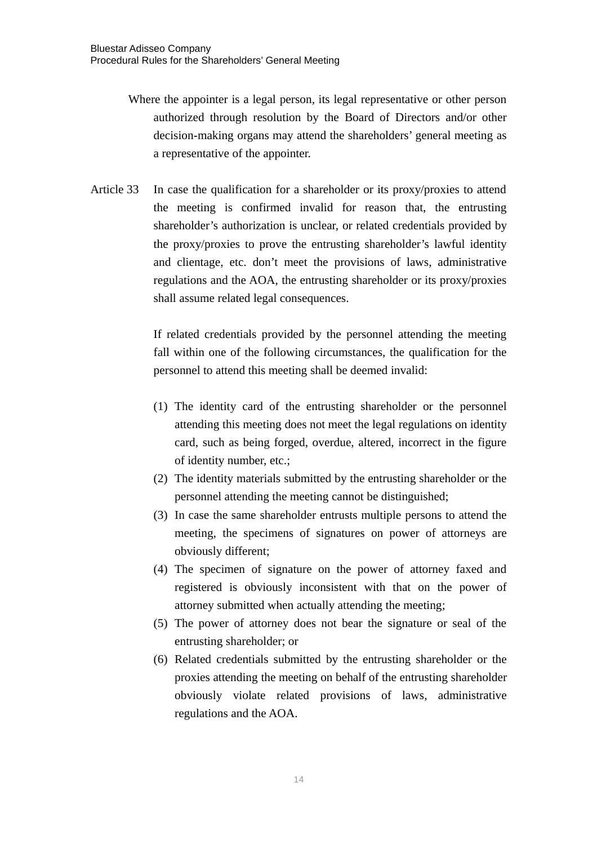- Where the appointer is a legal person, its legal representative or other person authorized through resolution by the Board of Directors and/or other decision-making organs may attend the shareholders' general meeting as a representative of the appointer.
- Article 33 In case the qualification for a shareholder or its proxy/proxies to attend the meeting is confirmed invalid for reason that, the entrusting shareholder's authorization is unclear, or related credentials provided by the proxy/proxies to prove the entrusting shareholder's lawful identity and clientage, etc. don't meet the provisions of laws, administrative regulations and the AOA, the entrusting shareholder or its proxy/proxies shall assume related legal consequences.

If related credentials provided by the personnel attending the meeting fall within one of the following circumstances, the qualification for the personnel to attend this meeting shall be deemed invalid:

- (1) The identity card of the entrusting shareholder or the personnel attending this meeting does not meet the legal regulations on identity card, such as being forged, overdue, altered, incorrect in the figure of identity number, etc.;
- (2) The identity materials submitted by the entrusting shareholder or the personnel attending the meeting cannot be distinguished;
- (3) In case the same shareholder entrusts multiple persons to attend the meeting, the specimens of signatures on power of attorneys are obviously different;
- (4) The specimen of signature on the power of attorney faxed and registered is obviously inconsistent with that on the power of attorney submitted when actually attending the meeting;
- (5) The power of attorney does not bear the signature or seal of the entrusting shareholder; or
- (6) Related credentials submitted by the entrusting shareholder or the proxies attending the meeting on behalf of the entrusting shareholder obviously violate related provisions of laws, administrative regulations and the AOA.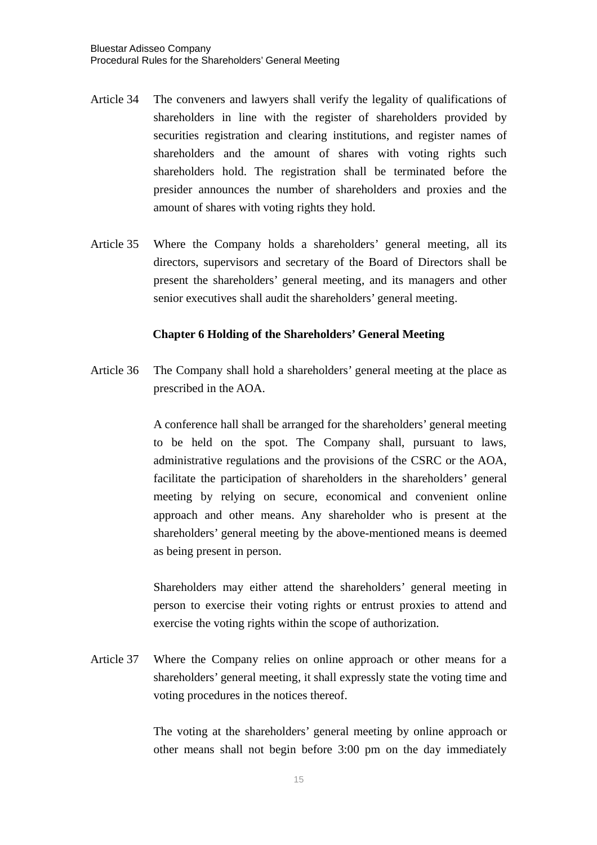- Article 34 The conveners and lawyers shall verify the legality of qualifications of shareholders in line with the register of shareholders provided by securities registration and clearing institutions, and register names of shareholders and the amount of shares with voting rights such shareholders hold. The registration shall be terminated before the presider announces the number of shareholders and proxies and the amount of shares with voting rights they hold.
- Article 35 Where the Company holds a shareholders' general meeting, all its directors, supervisors and secretary of the Board of Directors shall be present the shareholders' general meeting, and its managers and other senior executives shall audit the shareholders' general meeting.

#### **Chapter 6 Holding of the Shareholders' General Meeting**

Article 36 The Company shall hold a shareholders' general meeting at the place as prescribed in the AOA.

> A conference hall shall be arranged for the shareholders' general meeting to be held on the spot. The Company shall, pursuant to laws, administrative regulations and the provisions of the CSRC or the AOA, facilitate the participation of shareholders in the shareholders' general meeting by relying on secure, economical and convenient online approach and other means. Any shareholder who is present at the shareholders' general meeting by the above-mentioned means is deemed as being present in person.

> Shareholders may either attend the shareholders' general meeting in person to exercise their voting rights or entrust proxies to attend and exercise the voting rights within the scope of authorization.

Article 37 Where the Company relies on online approach or other means for a shareholders' general meeting, it shall expressly state the voting time and voting procedures in the notices thereof.

> The voting at the shareholders' general meeting by online approach or other means shall not begin before 3:00 pm on the day immediately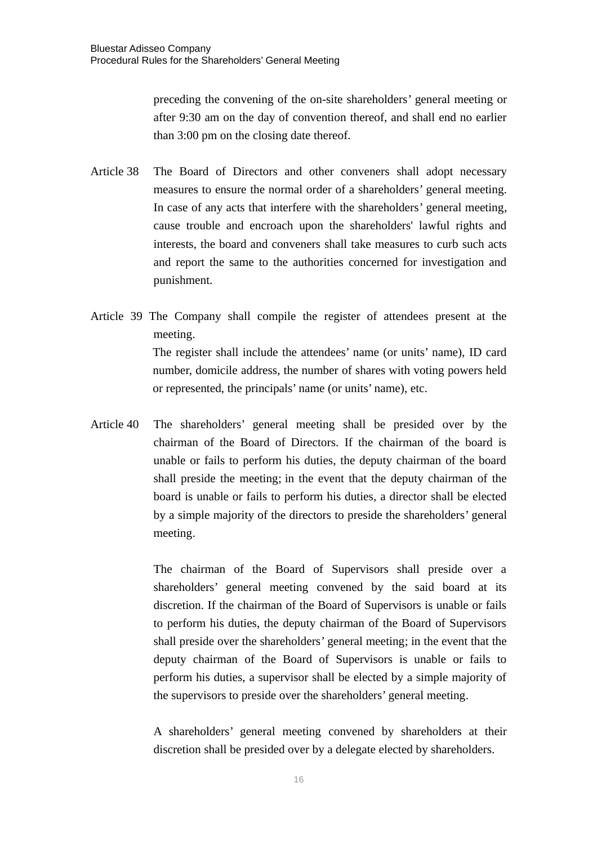preceding the convening of the on-site shareholders' general meeting or after 9:30 am on the day of convention thereof, and shall end no earlier than 3:00 pm on the closing date thereof.

- Article 38 The Board of Directors and other conveners shall adopt necessary measures to ensure the normal order of a shareholders' general meeting. In case of any acts that interfere with the shareholders' general meeting, cause trouble and encroach upon the shareholders' lawful rights and interests, the board and conveners shall take measures to curb such acts and report the same to the authorities concerned for investigation and punishment.
- Article 39 The Company shall compile the register of attendees present at the meeting. The register shall include the attendees' name (or units' name), ID card number, domicile address, the number of shares with voting powers held or represented, the principals' name (or units' name), etc.
- Article 40 The shareholders' general meeting shall be presided over by the chairman of the Board of Directors. If the chairman of the board is unable or fails to perform his duties, the deputy chairman of the board shall preside the meeting; in the event that the deputy chairman of the board is unable or fails to perform his duties, a director shall be elected by a simple majority of the directors to preside the shareholders' general meeting.

The chairman of the Board of Supervisors shall preside over a shareholders' general meeting convened by the said board at its discretion. If the chairman of the Board of Supervisors is unable or fails to perform his duties, the deputy chairman of the Board of Supervisors shall preside over the shareholders' general meeting; in the event that the deputy chairman of the Board of Supervisors is unable or fails to perform his duties, a supervisor shall be elected by a simple majority of the supervisors to preside over the shareholders' general meeting.

A shareholders' general meeting convened by shareholders at their discretion shall be presided over by a delegate elected by shareholders.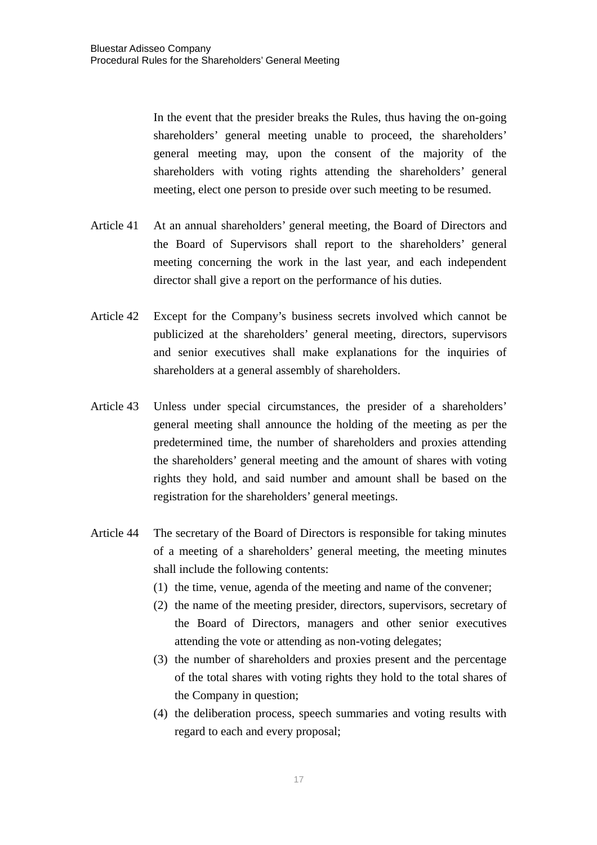In the event that the presider breaks the Rules, thus having the on-going shareholders' general meeting unable to proceed, the shareholders' general meeting may, upon the consent of the majority of the shareholders with voting rights attending the shareholders' general meeting, elect one person to preside over such meeting to be resumed.

- Article 41 At an annual shareholders' general meeting, the Board of Directors and the Board of Supervisors shall report to the shareholders' general meeting concerning the work in the last year, and each independent director shall give a report on the performance of his duties.
- Article 42 Except for the Company's business secrets involved which cannot be publicized at the shareholders' general meeting, directors, supervisors and senior executives shall make explanations for the inquiries of shareholders at a general assembly of shareholders.
- Article 43 Unless under special circumstances, the presider of a shareholders' general meeting shall announce the holding of the meeting as per the predetermined time, the number of shareholders and proxies attending the shareholders' general meeting and the amount of shares with voting rights they hold, and said number and amount shall be based on the registration for the shareholders' general meetings.
- Article 44 The secretary of the Board of Directors is responsible for taking minutes of a meeting of a shareholders' general meeting, the meeting minutes shall include the following contents:
	- (1) the time, venue, agenda of the meeting and name of the convener;
	- (2) the name of the meeting presider, directors, supervisors, secretary of the Board of Directors, managers and other senior executives attending the vote or attending as non-voting delegates;
	- (3) the number of shareholders and proxies present and the percentage of the total shares with voting rights they hold to the total shares of the Company in question;
	- (4) the deliberation process, speech summaries and voting results with regard to each and every proposal;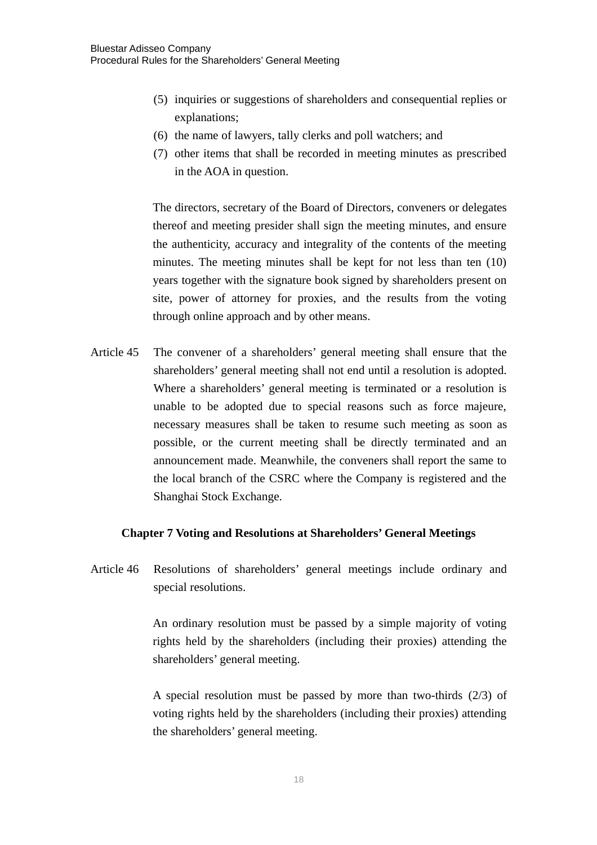- (5) inquiries or suggestions of shareholders and consequential replies or explanations;
- (6) the name of lawyers, tally clerks and poll watchers; and
- (7) other items that shall be recorded in meeting minutes as prescribed in the AOA in question.

The directors, secretary of the Board of Directors, conveners or delegates thereof and meeting presider shall sign the meeting minutes, and ensure the authenticity, accuracy and integrality of the contents of the meeting minutes. The meeting minutes shall be kept for not less than ten (10) years together with the signature book signed by shareholders present on site, power of attorney for proxies, and the results from the voting through online approach and by other means.

Article 45 The convener of a shareholders' general meeting shall ensure that the shareholders' general meeting shall not end until a resolution is adopted. Where a shareholders' general meeting is terminated or a resolution is unable to be adopted due to special reasons such as force majeure, necessary measures shall be taken to resume such meeting as soon as possible, or the current meeting shall be directly terminated and an announcement made. Meanwhile, the conveners shall report the same to the local branch of the CSRC where the Company is registered and the Shanghai Stock Exchange.

## **Chapter 7 Voting and Resolutions at Shareholders' General Meetings**

Article 46 Resolutions of shareholders' general meetings include ordinary and special resolutions.

> An ordinary resolution must be passed by a simple majority of voting rights held by the shareholders (including their proxies) attending the shareholders' general meeting.

> A special resolution must be passed by more than two-thirds (2/3) of voting rights held by the shareholders (including their proxies) attending the shareholders' general meeting.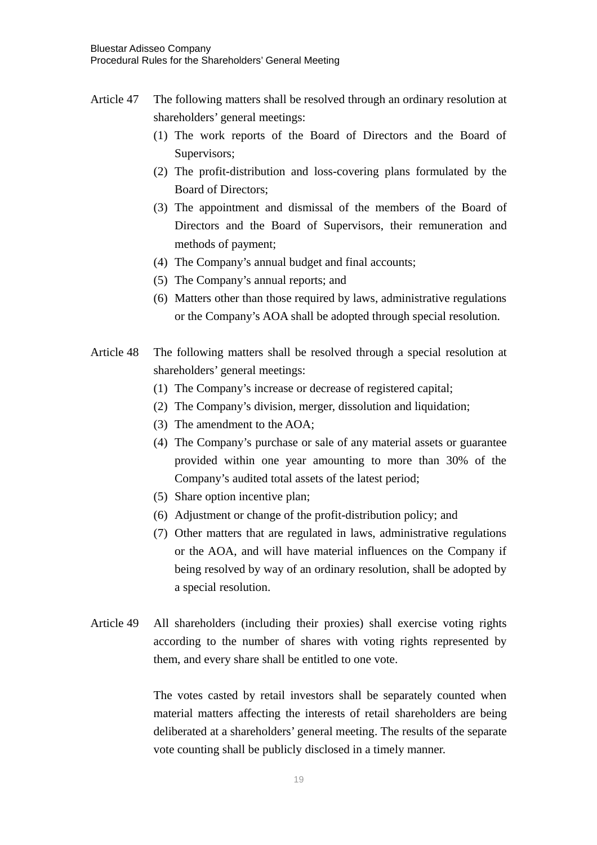- Article 47 The following matters shall be resolved through an ordinary resolution at shareholders' general meetings:
	- (1) The work reports of the Board of Directors and the Board of Supervisors;
	- (2) The profit-distribution and loss-covering plans formulated by the Board of Directors;
	- (3) The appointment and dismissal of the members of the Board of Directors and the Board of Supervisors, their remuneration and methods of payment;
	- (4) The Company's annual budget and final accounts;
	- (5) The Company's annual reports; and
	- (6) Matters other than those required by laws, administrative regulations or the Company's AOA shall be adopted through special resolution.
- Article 48 The following matters shall be resolved through a special resolution at shareholders' general meetings:
	- (1) The Company's increase or decrease of registered capital;
	- (2) The Company's division, merger, dissolution and liquidation;
	- (3) The amendment to the AOA;
	- (4) The Company's purchase or sale of any material assets or guarantee provided within one year amounting to more than 30% of the Company's audited total assets of the latest period;
	- (5) Share option incentive plan;
	- (6) Adjustment or change of the profit-distribution policy; and
	- (7) Other matters that are regulated in laws, administrative regulations or the AOA, and will have material influences on the Company if being resolved by way of an ordinary resolution, shall be adopted by a special resolution.
- Article 49 All shareholders (including their proxies) shall exercise voting rights according to the number of shares with voting rights represented by them, and every share shall be entitled to one vote.

The votes casted by retail investors shall be separately counted when material matters affecting the interests of retail shareholders are being deliberated at a shareholders' general meeting. The results of the separate vote counting shall be publicly disclosed in a timely manner.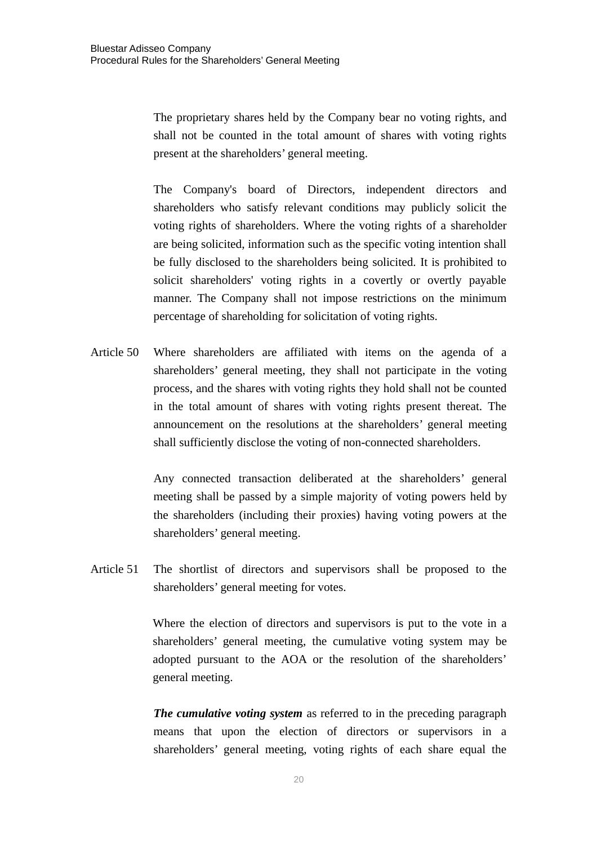The proprietary shares held by the Company bear no voting rights, and shall not be counted in the total amount of shares with voting rights present at the shareholders' general meeting.

The Company's board of Directors, independent directors and shareholders who satisfy relevant conditions may publicly solicit the voting rights of shareholders. Where the voting rights of a shareholder are being solicited, information such as the specific voting intention shall be fully disclosed to the shareholders being solicited. It is prohibited to solicit shareholders' voting rights in a covertly or overtly payable manner. The Company shall not impose restrictions on the minimum percentage of shareholding for solicitation of voting rights.

Article 50 Where shareholders are affiliated with items on the agenda of a shareholders' general meeting, they shall not participate in the voting process, and the shares with voting rights they hold shall not be counted in the total amount of shares with voting rights present thereat. The announcement on the resolutions at the shareholders' general meeting shall sufficiently disclose the voting of non-connected shareholders.

> Any connected transaction deliberated at the shareholders' general meeting shall be passed by a simple majority of voting powers held by the shareholders (including their proxies) having voting powers at the shareholders' general meeting.

Article 51 The shortlist of directors and supervisors shall be proposed to the shareholders' general meeting for votes.

> Where the election of directors and supervisors is put to the vote in a shareholders' general meeting, the cumulative voting system may be adopted pursuant to the AOA or the resolution of the shareholders' general meeting.

> *The cumulative voting system* as referred to in the preceding paragraph means that upon the election of directors or supervisors in a shareholders' general meeting, voting rights of each share equal the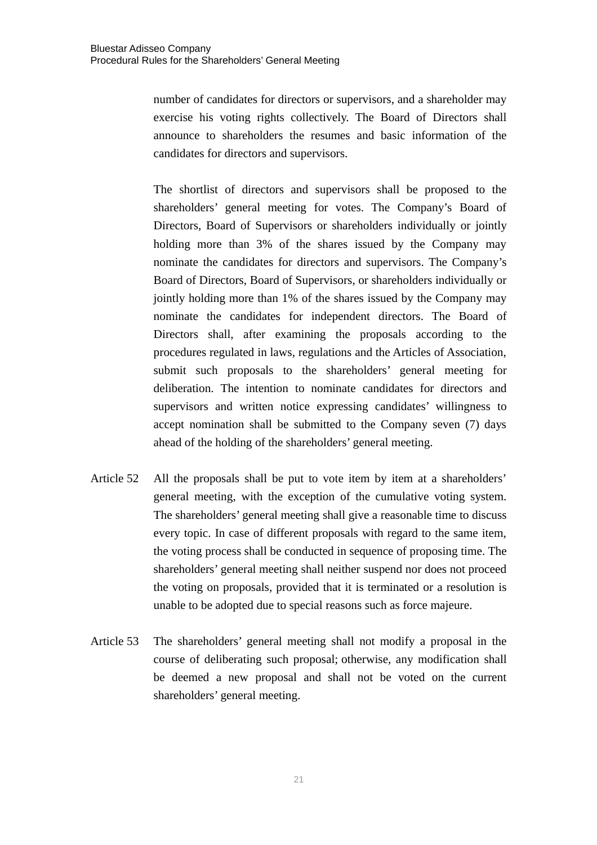number of candidates for directors or supervisors, and a shareholder may exercise his voting rights collectively. The Board of Directors shall announce to shareholders the resumes and basic information of the candidates for directors and supervisors.

The shortlist of directors and supervisors shall be proposed to the shareholders' general meeting for votes. The Company's Board of Directors, Board of Supervisors or shareholders individually or jointly holding more than 3% of the shares issued by the Company may nominate the candidates for directors and supervisors. The Company's Board of Directors, Board of Supervisors, or shareholders individually or jointly holding more than 1% of the shares issued by the Company may nominate the candidates for independent directors. The Board of Directors shall, after examining the proposals according to the procedures regulated in laws, regulations and the Articles of Association, submit such proposals to the shareholders' general meeting for deliberation. The intention to nominate candidates for directors and supervisors and written notice expressing candidates' willingness to accept nomination shall be submitted to the Company seven (7) days ahead of the holding of the shareholders' general meeting.

- Article 52 All the proposals shall be put to vote item by item at a shareholders' general meeting, with the exception of the cumulative voting system. The shareholders' general meeting shall give a reasonable time to discuss every topic. In case of different proposals with regard to the same item, the voting process shall be conducted in sequence of proposing time. The shareholders' general meeting shall neither suspend nor does not proceed the voting on proposals, provided that it is terminated or a resolution is unable to be adopted due to special reasons such as force majeure.
- Article 53 The shareholders' general meeting shall not modify a proposal in the course of deliberating such proposal; otherwise, any modification shall be deemed a new proposal and shall not be voted on the current shareholders' general meeting.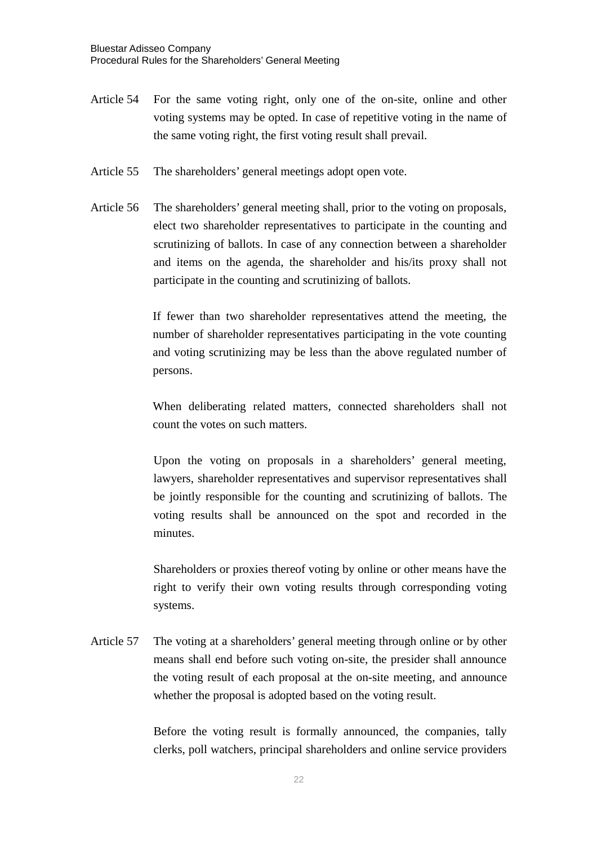- Article 54 For the same voting right, only one of the on-site, online and other voting systems may be opted. In case of repetitive voting in the name of the same voting right, the first voting result shall prevail.
- Article 55 The shareholders' general meetings adopt open vote.
- Article 56 The shareholders' general meeting shall, prior to the voting on proposals, elect two shareholder representatives to participate in the counting and scrutinizing of ballots. In case of any connection between a shareholder and items on the agenda, the shareholder and his/its proxy shall not participate in the counting and scrutinizing of ballots.

If fewer than two shareholder representatives attend the meeting, the number of shareholder representatives participating in the vote counting and voting scrutinizing may be less than the above regulated number of persons.

When deliberating related matters, connected shareholders shall not count the votes on such matters.

Upon the voting on proposals in a shareholders' general meeting, lawyers, shareholder representatives and supervisor representatives shall be jointly responsible for the counting and scrutinizing of ballots. The voting results shall be announced on the spot and recorded in the minutes.

Shareholders or proxies thereof voting by online or other means have the right to verify their own voting results through corresponding voting systems.

Article 57 The voting at a shareholders' general meeting through online or by other means shall end before such voting on-site, the presider shall announce the voting result of each proposal at the on-site meeting, and announce whether the proposal is adopted based on the voting result.

> Before the voting result is formally announced, the companies, tally clerks, poll watchers, principal shareholders and online service providers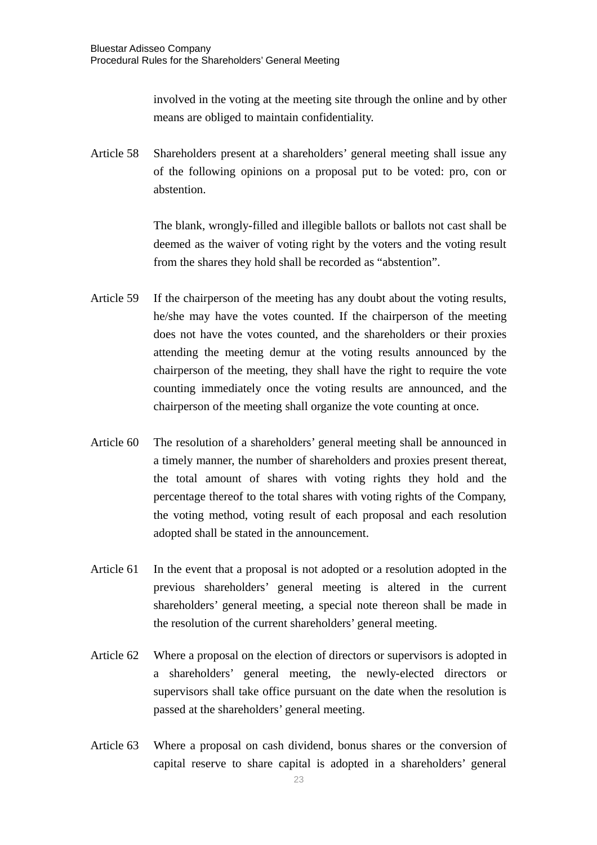involved in the voting at the meeting site through the online and by other means are obliged to maintain confidentiality.

Article 58 Shareholders present at a shareholders' general meeting shall issue any of the following opinions on a proposal put to be voted: pro, con or abstention.

> The blank, wrongly-filled and illegible ballots or ballots not cast shall be deemed as the waiver of voting right by the voters and the voting result from the shares they hold shall be recorded as "abstention".

- Article 59 If the chairperson of the meeting has any doubt about the voting results, he/she may have the votes counted. If the chairperson of the meeting does not have the votes counted, and the shareholders or their proxies attending the meeting demur at the voting results announced by the chairperson of the meeting, they shall have the right to require the vote counting immediately once the voting results are announced, and the chairperson of the meeting shall organize the vote counting at once.
- Article 60 The resolution of a shareholders' general meeting shall be announced in a timely manner, the number of shareholders and proxies present thereat, the total amount of shares with voting rights they hold and the percentage thereof to the total shares with voting rights of the Company, the voting method, voting result of each proposal and each resolution adopted shall be stated in the announcement.
- Article 61 In the event that a proposal is not adopted or a resolution adopted in the previous shareholders' general meeting is altered in the current shareholders' general meeting, a special note thereon shall be made in the resolution of the current shareholders' general meeting.
- Article 62 Where a proposal on the election of directors or supervisors is adopted in a shareholders' general meeting, the newly-elected directors or supervisors shall take office pursuant on the date when the resolution is passed at the shareholders' general meeting.
- Article 63 Where a proposal on cash dividend, bonus shares or the conversion of capital reserve to share capital is adopted in a shareholders' general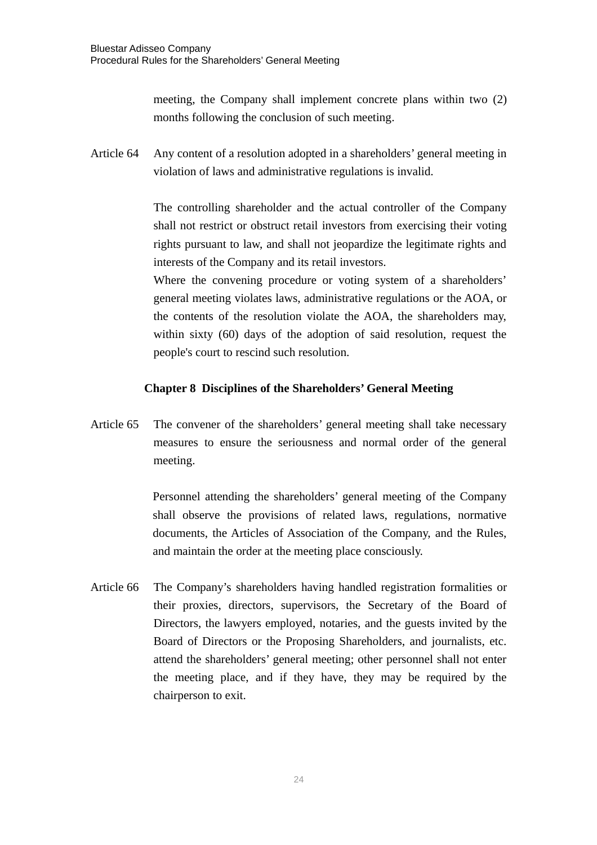meeting, the Company shall implement concrete plans within two (2) months following the conclusion of such meeting.

Article 64 Any content of a resolution adopted in a shareholders' general meeting in violation of laws and administrative regulations is invalid.

> The controlling shareholder and the actual controller of the Company shall not restrict or obstruct retail investors from exercising their voting rights pursuant to law, and shall not jeopardize the legitimate rights and interests of the Company and its retail investors.

> Where the convening procedure or voting system of a shareholders' general meeting violates laws, administrative regulations or the AOA, or the contents of the resolution violate the AOA, the shareholders may, within sixty (60) days of the adoption of said resolution, request the people's court to rescind such resolution.

## **Chapter 8 Disciplines of the Shareholders' General Meeting**

Article 65 The convener of the shareholders' general meeting shall take necessary measures to ensure the seriousness and normal order of the general meeting.

> Personnel attending the shareholders' general meeting of the Company shall observe the provisions of related laws, regulations, normative documents, the Articles of Association of the Company, and the Rules, and maintain the order at the meeting place consciously.

Article 66 The Company's shareholders having handled registration formalities or their proxies, directors, supervisors, the Secretary of the Board of Directors, the lawyers employed, notaries, and the guests invited by the Board of Directors or the Proposing Shareholders, and journalists, etc. attend the shareholders' general meeting; other personnel shall not enter the meeting place, and if they have, they may be required by the chairperson to exit.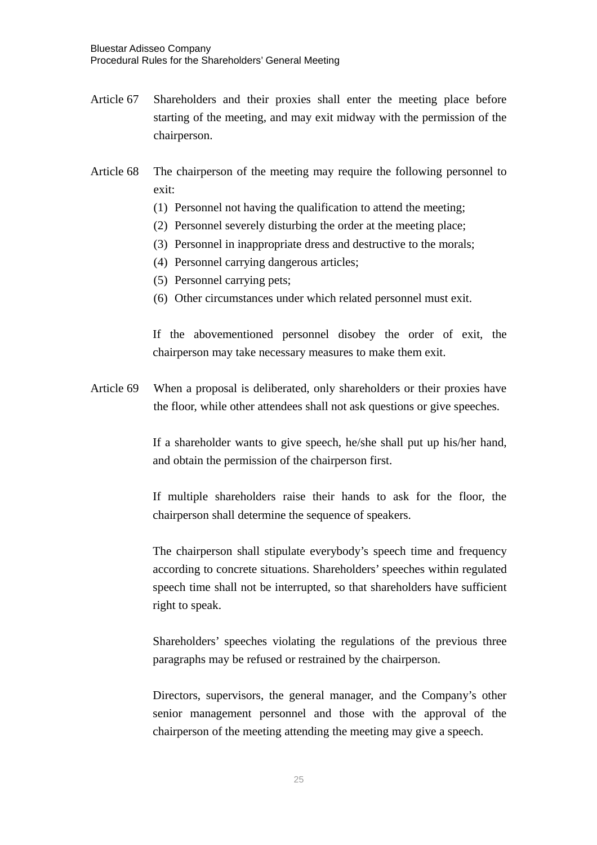- Article 67 Shareholders and their proxies shall enter the meeting place before starting of the meeting, and may exit midway with the permission of the chairperson.
- Article 68 The chairperson of the meeting may require the following personnel to exit:
	- (1) Personnel not having the qualification to attend the meeting;
	- (2) Personnel severely disturbing the order at the meeting place;
	- (3) Personnel in inappropriate dress and destructive to the morals;
	- (4) Personnel carrying dangerous articles;
	- (5) Personnel carrying pets;
	- (6) Other circumstances under which related personnel must exit.

If the abovementioned personnel disobey the order of exit, the chairperson may take necessary measures to make them exit.

Article 69 When a proposal is deliberated, only shareholders or their proxies have the floor, while other attendees shall not ask questions or give speeches.

> If a shareholder wants to give speech, he/she shall put up his/her hand, and obtain the permission of the chairperson first.

> If multiple shareholders raise their hands to ask for the floor, the chairperson shall determine the sequence of speakers.

> The chairperson shall stipulate everybody's speech time and frequency according to concrete situations. Shareholders' speeches within regulated speech time shall not be interrupted, so that shareholders have sufficient right to speak.

> Shareholders' speeches violating the regulations of the previous three paragraphs may be refused or restrained by the chairperson.

> Directors, supervisors, the general manager, and the Company's other senior management personnel and those with the approval of the chairperson of the meeting attending the meeting may give a speech.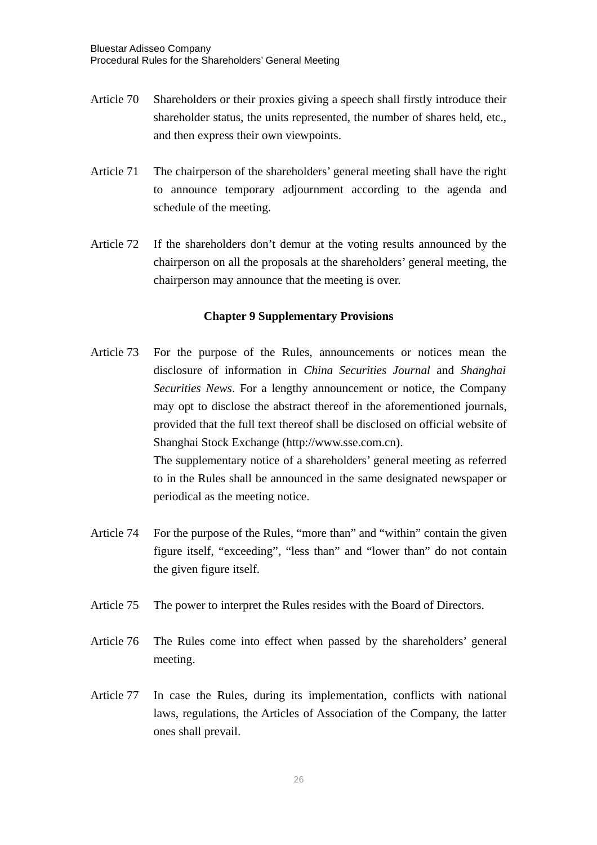- Article 70 Shareholders or their proxies giving a speech shall firstly introduce their shareholder status, the units represented, the number of shares held, etc., and then express their own viewpoints.
- Article 71 The chairperson of the shareholders' general meeting shall have the right to announce temporary adjournment according to the agenda and schedule of the meeting.
- Article 72 If the shareholders don't demur at the voting results announced by the chairperson on all the proposals at the shareholders' general meeting, the chairperson may announce that the meeting is over.

## **Chapter 9 Supplementary Provisions**

- Article 73 For the purpose of the Rules, announcements or notices mean the disclosure of information in *China Securities Journal* and *Shanghai Securities News*. For a lengthy announcement or notice, the Company may opt to disclose the abstract thereof in the aforementioned journals, provided that the full text thereof shall be disclosed on official website of Shanghai Stock Exchange (http://www.sse.com.cn). The supplementary notice of a shareholders' general meeting as referred to in the Rules shall be announced in the same designated newspaper or periodical as the meeting notice.
- Article 74 For the purpose of the Rules, "more than" and "within" contain the given figure itself, "exceeding", "less than" and "lower than" do not contain the given figure itself.
- Article 75 The power to interpret the Rules resides with the Board of Directors.
- Article 76 The Rules come into effect when passed by the shareholders' general meeting.
- Article 77 In case the Rules, during its implementation, conflicts with national laws, regulations, the Articles of Association of the Company, the latter ones shall prevail.